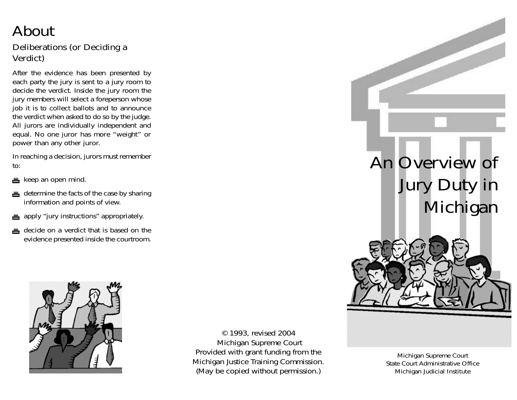#### **About Deliberations (or Deciding a Verdict)**

After the evidence has been presented by each party the jury is sent to a jury room to decide the verdict. Inside the jury room the jury members will select a foreperson whose job it is to collect ballots and to announce the verdict when asked to do so by the judge. All jurors are individually independent and equal. **No one juror has more "weight" or power than any other juror.**

In reaching a decision, jurors must remember to:

- **im**, keep an open mind.
- determine the facts of the case by sharing information and points of view.
- apply "jury instructions" appropriately.
- decide on a verdict that is based on the evidence presented inside the courtroom.



© 1993, revised 2004 Michigan Supreme Court Provided with grant funding from the Michigan Justice Training Commission. (May be copied without permission.)

Michigan Supreme Court State Court Administrative Office **Michigan Judicial Institute**